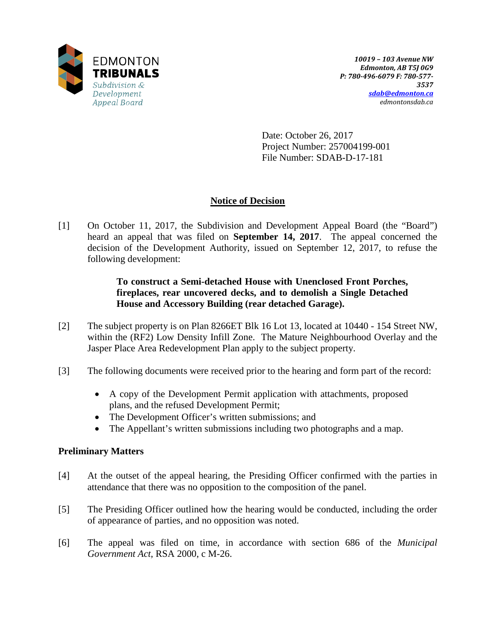

Date: October 26, 2017 Project Number: 257004199-001 File Number: SDAB-D-17-181

## **Notice of Decision**

[1] On October 11, 2017, the Subdivision and Development Appeal Board (the "Board") heard an appeal that was filed on **September 14, 2017**. The appeal concerned the decision of the Development Authority, issued on September 12, 2017, to refuse the following development:

## **To construct a Semi-detached House with Unenclosed Front Porches, fireplaces, rear uncovered decks, and to demolish a Single Detached House and Accessory Building (rear detached Garage).**

- [2] The subject property is on Plan 8266ET Blk 16 Lot 13, located at 10440 154 Street NW, within the (RF2) Low Density Infill Zone. The Mature Neighbourhood Overlay and the Jasper Place Area Redevelopment Plan apply to the subject property.
- [3] The following documents were received prior to the hearing and form part of the record:
	- A copy of the Development Permit application with attachments, proposed plans, and the refused Development Permit;
	- The Development Officer's written submissions; and
	- The Appellant's written submissions including two photographs and a map.

## **Preliminary Matters**

- [4] At the outset of the appeal hearing, the Presiding Officer confirmed with the parties in attendance that there was no opposition to the composition of the panel.
- [5] The Presiding Officer outlined how the hearing would be conducted, including the order of appearance of parties, and no opposition was noted.
- [6] The appeal was filed on time, in accordance with section 686 of the *Municipal Government Act*, RSA 2000, c M-26.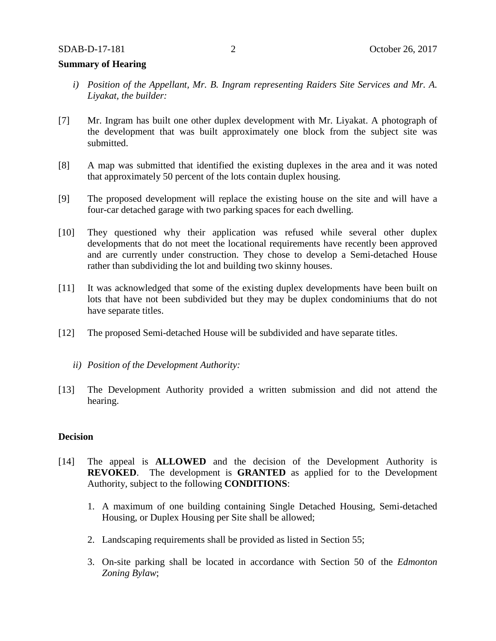### **Summary of Hearing**

- *i) Position of the Appellant, Mr. B. Ingram representing Raiders Site Services and Mr. A. Liyakat, the builder:*
- [7] Mr. Ingram has built one other duplex development with Mr. Liyakat. A photograph of the development that was built approximately one block from the subject site was submitted.
- [8] A map was submitted that identified the existing duplexes in the area and it was noted that approximately 50 percent of the lots contain duplex housing.
- [9] The proposed development will replace the existing house on the site and will have a four-car detached garage with two parking spaces for each dwelling.
- [10] They questioned why their application was refused while several other duplex developments that do not meet the locational requirements have recently been approved and are currently under construction. They chose to develop a Semi-detached House rather than subdividing the lot and building two skinny houses.
- [11] It was acknowledged that some of the existing duplex developments have been built on lots that have not been subdivided but they may be duplex condominiums that do not have separate titles.
- [12] The proposed Semi-detached House will be subdivided and have separate titles.
	- *ii) Position of the Development Authority:*
- [13] The Development Authority provided a written submission and did not attend the hearing.

### **Decision**

- [14] The appeal is **ALLOWED** and the decision of the Development Authority is **REVOKED**. The development is **GRANTED** as applied for to the Development Authority, subject to the following **CONDITIONS**:
	- 1. A maximum of one building containing Single Detached Housing, Semi-detached Housing, or Duplex Housing per Site shall be allowed;
	- 2. Landscaping requirements shall be provided as listed in Section 55;
	- 3. On-site parking shall be located in accordance with Section 50 of the *Edmonton Zoning Bylaw*;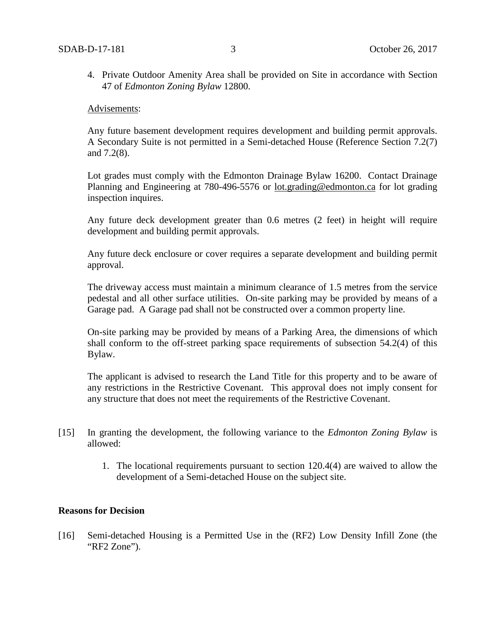4. Private Outdoor Amenity Area shall be provided on Site in accordance with Section 47 of *Edmonton Zoning Bylaw* 12800.

#### Advisements:

Any future basement development requires development and building permit approvals. A Secondary Suite is not permitted in a Semi-detached House (Reference Section 7.2(7) and 7.2(8).

Lot grades must comply with the Edmonton Drainage Bylaw 16200. Contact Drainage Planning and Engineering at 780-496-5576 or [lot.grading@edmonton.ca](mailto:lot.grading@edmonton.ca) for lot grading inspection inquires.

Any future deck development greater than 0.6 metres (2 feet) in height will require development and building permit approvals.

Any future deck enclosure or cover requires a separate development and building permit approval.

The driveway access must maintain a minimum clearance of 1.5 metres from the service pedestal and all other surface utilities. On-site parking may be provided by means of a Garage pad. A Garage pad shall not be constructed over a common property line.

On-site parking may be provided by means of a Parking Area, the dimensions of which shall conform to the off-street parking space requirements of subsection 54.2(4) of this Bylaw.

The applicant is advised to research the Land Title for this property and to be aware of any restrictions in the Restrictive Covenant. This approval does not imply consent for any structure that does not meet the requirements of the Restrictive Covenant.

- [15] In granting the development, the following variance to the *Edmonton Zoning Bylaw* is allowed:
	- 1. The locational requirements pursuant to section 120.4(4) are waived to allow the development of a Semi-detached House on the subject site.

### **Reasons for Decision**

[16] Semi-detached Housing is a Permitted Use in the (RF2) Low Density Infill Zone (the "RF2 Zone").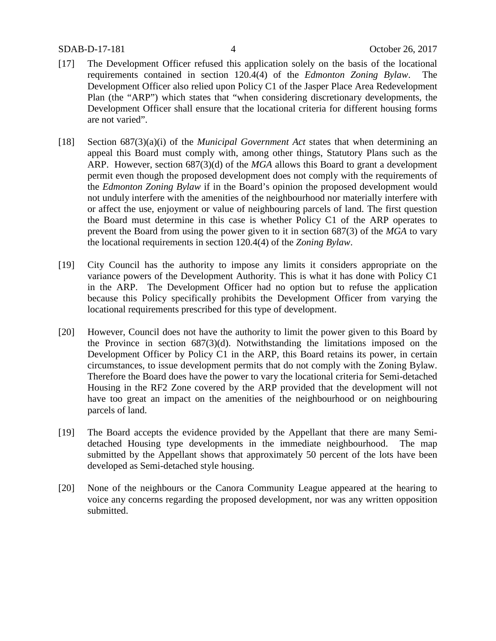### SDAB-D-17-181 4 October 26, 2017

- [17] The Development Officer refused this application solely on the basis of the locational requirements contained in section 120.4(4) of the *Edmonton Zoning Bylaw*. The Development Officer also relied upon Policy C1 of the Jasper Place Area Redevelopment Plan (the "ARP") which states that "when considering discretionary developments, the Development Officer shall ensure that the locational criteria for different housing forms are not varied".
- [18] Section 687(3)(a)(i) of the *Municipal Government Act* states that when determining an appeal this Board must comply with, among other things, Statutory Plans such as the ARP. However, section 687(3)(d) of the *MGA* allows this Board to grant a development permit even though the proposed development does not comply with the requirements of the *Edmonton Zoning Bylaw* if in the Board's opinion the proposed development would not unduly interfere with the amenities of the neighbourhood nor materially interfere with or affect the use, enjoyment or value of neighbouring parcels of land. The first question the Board must determine in this case is whether Policy C1 of the ARP operates to prevent the Board from using the power given to it in section 687(3) of the *MGA* to vary the locational requirements in section 120.4(4) of the *Zoning Bylaw*.
- [19] City Council has the authority to impose any limits it considers appropriate on the variance powers of the Development Authority. This is what it has done with Policy C1 in the ARP. The Development Officer had no option but to refuse the application because this Policy specifically prohibits the Development Officer from varying the locational requirements prescribed for this type of development.
- [20] However, Council does not have the authority to limit the power given to this Board by the Province in section 687(3)(d). Notwithstanding the limitations imposed on the Development Officer by Policy C1 in the ARP, this Board retains its power, in certain circumstances, to issue development permits that do not comply with the Zoning Bylaw. Therefore the Board does have the power to vary the locational criteria for Semi-detached Housing in the RF2 Zone covered by the ARP provided that the development will not have too great an impact on the amenities of the neighbourhood or on neighbouring parcels of land.
- [19] The Board accepts the evidence provided by the Appellant that there are many Semidetached Housing type developments in the immediate neighbourhood. The map submitted by the Appellant shows that approximately 50 percent of the lots have been developed as Semi-detached style housing.
- [20] None of the neighbours or the Canora Community League appeared at the hearing to voice any concerns regarding the proposed development, nor was any written opposition submitted.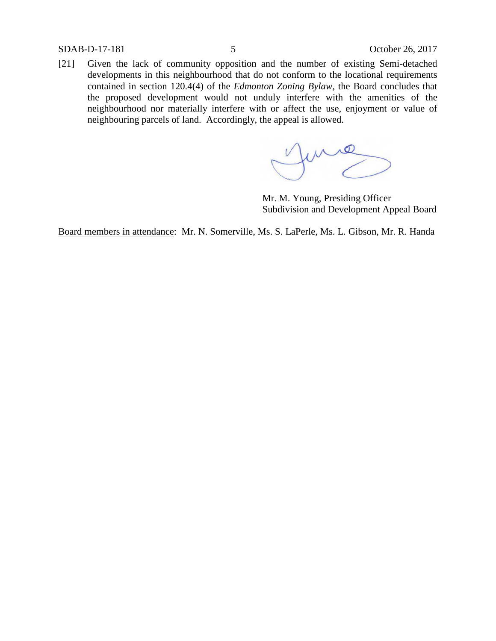SDAB-D-17-181 5 October 26, 2017

[21] Given the lack of community opposition and the number of existing Semi-detached developments in this neighbourhood that do not conform to the locational requirements contained in section 120.4(4) of the *Edmonton Zoning Bylaw,* the Board concludes that the proposed development would not unduly interfere with the amenities of the neighbourhood nor materially interfere with or affect the use, enjoyment or value of neighbouring parcels of land. Accordingly, the appeal is allowed.

me

Mr. M. Young, Presiding Officer Subdivision and Development Appeal Board

Board members in attendance: Mr. N. Somerville, Ms. S. LaPerle, Ms. L. Gibson, Mr. R. Handa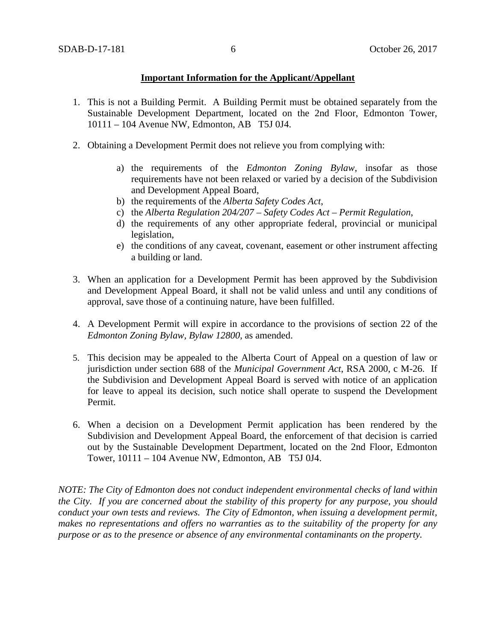### **Important Information for the Applicant/Appellant**

- 1. This is not a Building Permit. A Building Permit must be obtained separately from the Sustainable Development Department, located on the 2nd Floor, Edmonton Tower, 10111 – 104 Avenue NW, Edmonton, AB T5J 0J4.
- 2. Obtaining a Development Permit does not relieve you from complying with:
	- a) the requirements of the *Edmonton Zoning Bylaw*, insofar as those requirements have not been relaxed or varied by a decision of the Subdivision and Development Appeal Board,
	- b) the requirements of the *Alberta Safety Codes Act*,
	- c) the *Alberta Regulation 204/207 – Safety Codes Act – Permit Regulation*,
	- d) the requirements of any other appropriate federal, provincial or municipal legislation,
	- e) the conditions of any caveat, covenant, easement or other instrument affecting a building or land.
- 3. When an application for a Development Permit has been approved by the Subdivision and Development Appeal Board, it shall not be valid unless and until any conditions of approval, save those of a continuing nature, have been fulfilled.
- 4. A Development Permit will expire in accordance to the provisions of section 22 of the *Edmonton Zoning Bylaw, Bylaw 12800*, as amended.
- 5. This decision may be appealed to the Alberta Court of Appeal on a question of law or jurisdiction under section 688 of the *Municipal Government Act*, RSA 2000, c M-26. If the Subdivision and Development Appeal Board is served with notice of an application for leave to appeal its decision, such notice shall operate to suspend the Development Permit.
- 6. When a decision on a Development Permit application has been rendered by the Subdivision and Development Appeal Board, the enforcement of that decision is carried out by the Sustainable Development Department, located on the 2nd Floor, Edmonton Tower, 10111 – 104 Avenue NW, Edmonton, AB T5J 0J4.

*NOTE: The City of Edmonton does not conduct independent environmental checks of land within the City. If you are concerned about the stability of this property for any purpose, you should conduct your own tests and reviews. The City of Edmonton, when issuing a development permit, makes no representations and offers no warranties as to the suitability of the property for any purpose or as to the presence or absence of any environmental contaminants on the property.*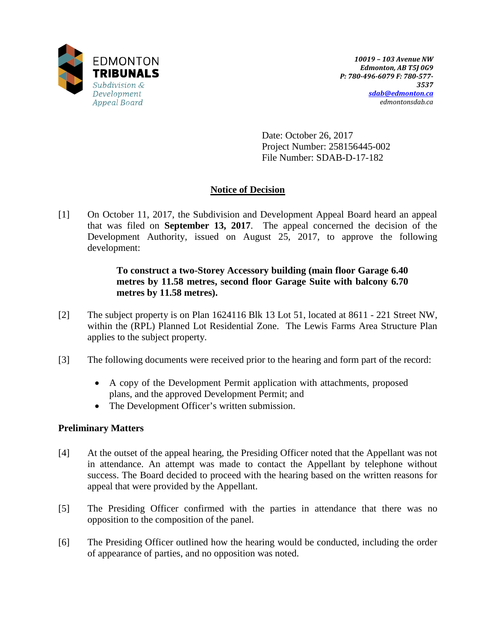

Date: October 26, 2017 Project Number: 258156445-002 File Number: SDAB-D-17-182

## **Notice of Decision**

[1] On October 11, 2017, the Subdivision and Development Appeal Board heard an appeal that was filed on **September 13, 2017**. The appeal concerned the decision of the Development Authority, issued on August 25, 2017, to approve the following development:

## **To construct a two-Storey Accessory building (main floor Garage 6.40 metres by 11.58 metres, second floor Garage Suite with balcony 6.70 metres by 11.58 metres).**

- [2] The subject property is on Plan 1624116 Blk 13 Lot 51, located at 8611 221 Street NW, within the (RPL) Planned Lot Residential Zone. The Lewis Farms Area Structure Plan applies to the subject property.
- [3] The following documents were received prior to the hearing and form part of the record:
	- A copy of the Development Permit application with attachments, proposed plans, and the approved Development Permit; and
	- The Development Officer's written submission.

## **Preliminary Matters**

- [4] At the outset of the appeal hearing, the Presiding Officer noted that the Appellant was not in attendance. An attempt was made to contact the Appellant by telephone without success. The Board decided to proceed with the hearing based on the written reasons for appeal that were provided by the Appellant.
- [5] The Presiding Officer confirmed with the parties in attendance that there was no opposition to the composition of the panel.
- [6] The Presiding Officer outlined how the hearing would be conducted, including the order of appearance of parties, and no opposition was noted.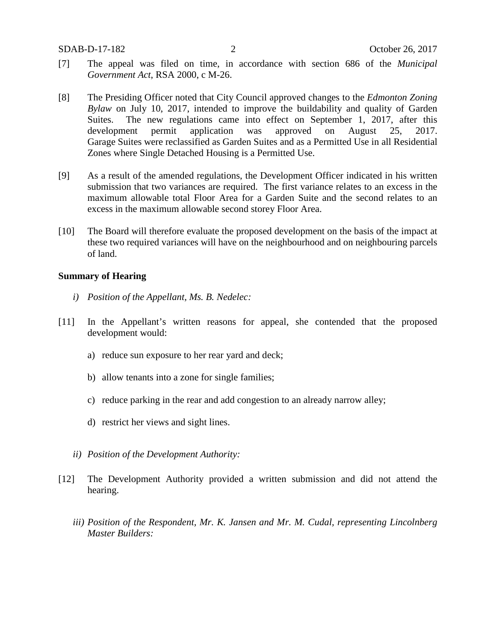- [7] The appeal was filed on time, in accordance with section 686 of the *Municipal Government Act*, RSA 2000, c M-26.
- [8] The Presiding Officer noted that City Council approved changes to the *Edmonton Zoning Bylaw* on July 10, 2017, intended to improve the buildability and quality of Garden Suites. The new regulations came into effect on September 1, 2017, after this development permit application was approved on August 25, 2017. Garage Suites were reclassified as Garden Suites and as a Permitted Use in all Residential Zones where Single Detached Housing is a Permitted Use.
- [9] As a result of the amended regulations, the Development Officer indicated in his written submission that two variances are required. The first variance relates to an excess in the maximum allowable total Floor Area for a Garden Suite and the second relates to an excess in the maximum allowable second storey Floor Area.
- [10] The Board will therefore evaluate the proposed development on the basis of the impact at these two required variances will have on the neighbourhood and on neighbouring parcels of land.

### **Summary of Hearing**

- *i) Position of the Appellant, Ms. B. Nedelec:*
- [11] In the Appellant's written reasons for appeal, she contended that the proposed development would:
	- a) reduce sun exposure to her rear yard and deck;
	- b) allow tenants into a zone for single families;
	- c) reduce parking in the rear and add congestion to an already narrow alley;
	- d) restrict her views and sight lines.
	- *ii) Position of the Development Authority:*
- [12] The Development Authority provided a written submission and did not attend the hearing.
	- *iii) Position of the Respondent, Mr. K. Jansen and Mr. M. Cudal, representing Lincolnberg Master Builders:*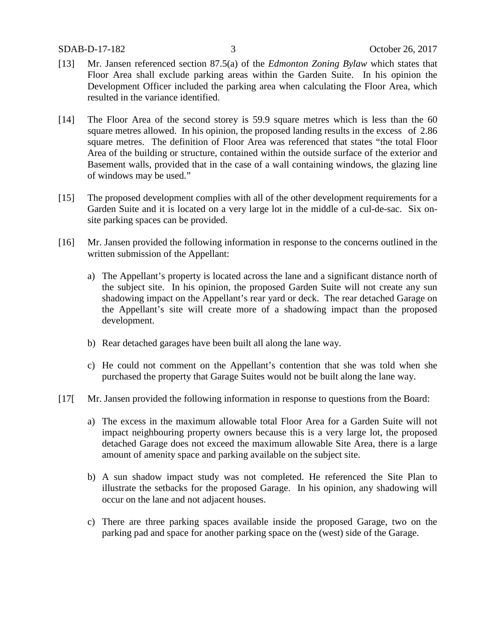- [13] Mr. Jansen referenced section 87.5(a) of the *Edmonton Zoning Bylaw* which states that Floor Area shall exclude parking areas within the Garden Suite. In his opinion the Development Officer included the parking area when calculating the Floor Area, which resulted in the variance identified.
- [14] The Floor Area of the second storey is 59.9 square metres which is less than the 60 square metres allowed. In his opinion, the proposed landing results in the excess of 2.86 square metres. The definition of Floor Area was referenced that states "the total Floor Area of the building or structure, contained within the outside surface of the exterior and Basement walls, provided that in the case of a wall containing windows, the glazing line of windows may be used."
- [15] The proposed development complies with all of the other development requirements for a Garden Suite and it is located on a very large lot in the middle of a cul-de-sac. Six onsite parking spaces can be provided.
- [16] Mr. Jansen provided the following information in response to the concerns outlined in the written submission of the Appellant:
	- a) The Appellant's property is located across the lane and a significant distance north of the subject site. In his opinion, the proposed Garden Suite will not create any sun shadowing impact on the Appellant's rear yard or deck. The rear detached Garage on the Appellant's site will create more of a shadowing impact than the proposed development.
	- b) Rear detached garages have been built all along the lane way.
	- c) He could not comment on the Appellant's contention that she was told when she purchased the property that Garage Suites would not be built along the lane way.
- [17] Mr. Jansen provided the following information in response to questions from the Board:
	- a) The excess in the maximum allowable total Floor Area for a Garden Suite will not impact neighbouring property owners because this is a very large lot, the proposed detached Garage does not exceed the maximum allowable Site Area, there is a large amount of amenity space and parking available on the subject site.
	- b) A sun shadow impact study was not completed. He referenced the Site Plan to illustrate the setbacks for the proposed Garage. In his opinion, any shadowing will occur on the lane and not adjacent houses.
	- c) There are three parking spaces available inside the proposed Garage, two on the parking pad and space for another parking space on the (west) side of the Garage.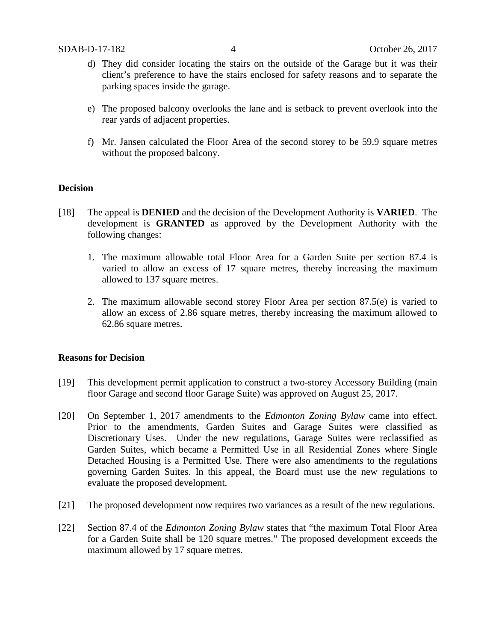- d) They did consider locating the stairs on the outside of the Garage but it was their client's preference to have the stairs enclosed for safety reasons and to separate the parking spaces inside the garage.
- e) The proposed balcony overlooks the lane and is setback to prevent overlook into the rear yards of adjacent properties.
- f) Mr. Jansen calculated the Floor Area of the second storey to be 59.9 square metres without the proposed balcony.

### **Decision**

- [18] The appeal is **DENIED** and the decision of the Development Authority is **VARIED**. The development is **GRANTED** as approved by the Development Authority with the following changes:
	- 1. The maximum allowable total Floor Area for a Garden Suite per section 87.4 is varied to allow an excess of 17 square metres, thereby increasing the maximum allowed to 137 square metres.
	- 2. The maximum allowable second storey Floor Area per section 87.5(e) is varied to allow an excess of 2.86 square metres, thereby increasing the maximum allowed to 62.86 square metres.

### **Reasons for Decision**

- [19] This development permit application to construct a two-storey Accessory Building (main floor Garage and second floor Garage Suite) was approved on August 25, 2017.
- [20] On September 1, 2017 amendments to the *Edmonton Zoning Bylaw* came into effect. Prior to the amendments, Garden Suites and Garage Suites were classified as Discretionary Uses. Under the new regulations, Garage Suites were reclassified as Garden Suites, which became a Permitted Use in all Residential Zones where Single Detached Housing is a Permitted Use. There were also amendments to the regulations governing Garden Suites. In this appeal, the Board must use the new regulations to evaluate the proposed development.
- [21] The proposed development now requires two variances as a result of the new regulations.
- [22] Section 87.4 of the *Edmonton Zoning Bylaw* states that "the maximum Total Floor Area for a Garden Suite shall be 120 square metres." The proposed development exceeds the maximum allowed by 17 square metres.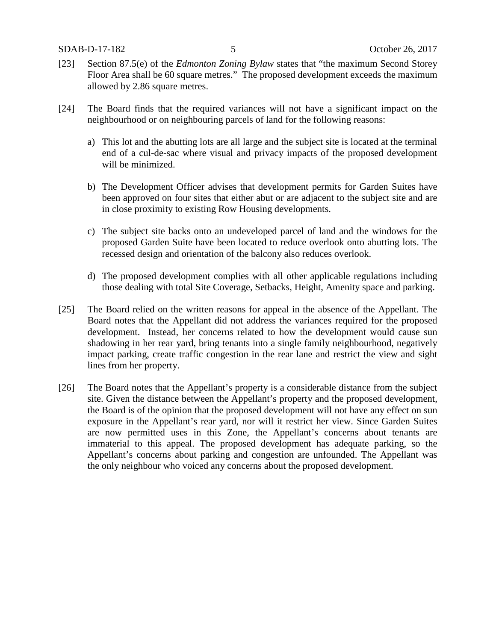- [23] Section 87.5(e) of the *Edmonton Zoning Bylaw* states that "the maximum Second Storey Floor Area shall be 60 square metres." The proposed development exceeds the maximum allowed by 2.86 square metres.
- [24] The Board finds that the required variances will not have a significant impact on the neighbourhood or on neighbouring parcels of land for the following reasons:
	- a) This lot and the abutting lots are all large and the subject site is located at the terminal end of a cul-de-sac where visual and privacy impacts of the proposed development will be minimized.
	- b) The Development Officer advises that development permits for Garden Suites have been approved on four sites that either abut or are adjacent to the subject site and are in close proximity to existing Row Housing developments.
	- c) The subject site backs onto an undeveloped parcel of land and the windows for the proposed Garden Suite have been located to reduce overlook onto abutting lots. The recessed design and orientation of the balcony also reduces overlook.
	- d) The proposed development complies with all other applicable regulations including those dealing with total Site Coverage, Setbacks, Height, Amenity space and parking.
- [25] The Board relied on the written reasons for appeal in the absence of the Appellant. The Board notes that the Appellant did not address the variances required for the proposed development. Instead, her concerns related to how the development would cause sun shadowing in her rear yard, bring tenants into a single family neighbourhood, negatively impact parking, create traffic congestion in the rear lane and restrict the view and sight lines from her property.
- [26] The Board notes that the Appellant's property is a considerable distance from the subject site. Given the distance between the Appellant's property and the proposed development, the Board is of the opinion that the proposed development will not have any effect on sun exposure in the Appellant's rear yard, nor will it restrict her view. Since Garden Suites are now permitted uses in this Zone, the Appellant's concerns about tenants are immaterial to this appeal. The proposed development has adequate parking, so the Appellant's concerns about parking and congestion are unfounded. The Appellant was the only neighbour who voiced any concerns about the proposed development.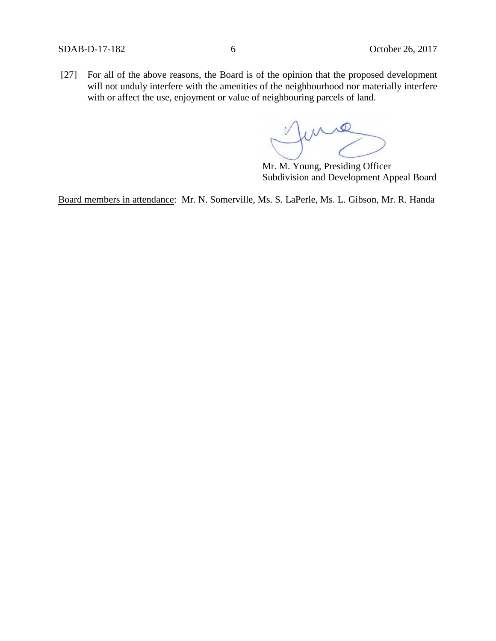[27] For all of the above reasons, the Board is of the opinion that the proposed development will not unduly interfere with the amenities of the neighbourhood nor materially interfere with or affect the use, enjoyment or value of neighbouring parcels of land.

me

Mr. M. Young, Presiding Officer Subdivision and Development Appeal Board

Board members in attendance: Mr. N. Somerville, Ms. S. LaPerle, Ms. L. Gibson, Mr. R. Handa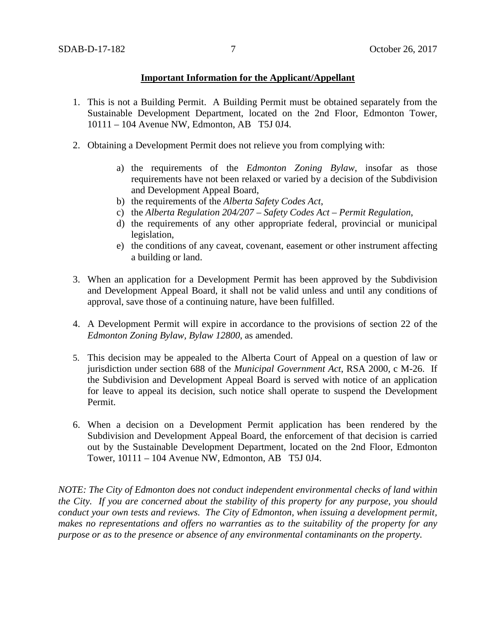### **Important Information for the Applicant/Appellant**

- 1. This is not a Building Permit. A Building Permit must be obtained separately from the Sustainable Development Department, located on the 2nd Floor, Edmonton Tower, 10111 – 104 Avenue NW, Edmonton, AB T5J 0J4.
- 2. Obtaining a Development Permit does not relieve you from complying with:
	- a) the requirements of the *Edmonton Zoning Bylaw*, insofar as those requirements have not been relaxed or varied by a decision of the Subdivision and Development Appeal Board,
	- b) the requirements of the *Alberta Safety Codes Act*,
	- c) the *Alberta Regulation 204/207 – Safety Codes Act – Permit Regulation*,
	- d) the requirements of any other appropriate federal, provincial or municipal legislation,
	- e) the conditions of any caveat, covenant, easement or other instrument affecting a building or land.
- 3. When an application for a Development Permit has been approved by the Subdivision and Development Appeal Board, it shall not be valid unless and until any conditions of approval, save those of a continuing nature, have been fulfilled.
- 4. A Development Permit will expire in accordance to the provisions of section 22 of the *Edmonton Zoning Bylaw, Bylaw 12800*, as amended.
- 5. This decision may be appealed to the Alberta Court of Appeal on a question of law or jurisdiction under section 688 of the *Municipal Government Act*, RSA 2000, c M-26. If the Subdivision and Development Appeal Board is served with notice of an application for leave to appeal its decision, such notice shall operate to suspend the Development Permit.
- 6. When a decision on a Development Permit application has been rendered by the Subdivision and Development Appeal Board, the enforcement of that decision is carried out by the Sustainable Development Department, located on the 2nd Floor, Edmonton Tower, 10111 – 104 Avenue NW, Edmonton, AB T5J 0J4.

*NOTE: The City of Edmonton does not conduct independent environmental checks of land within the City. If you are concerned about the stability of this property for any purpose, you should conduct your own tests and reviews. The City of Edmonton, when issuing a development permit, makes no representations and offers no warranties as to the suitability of the property for any purpose or as to the presence or absence of any environmental contaminants on the property.*